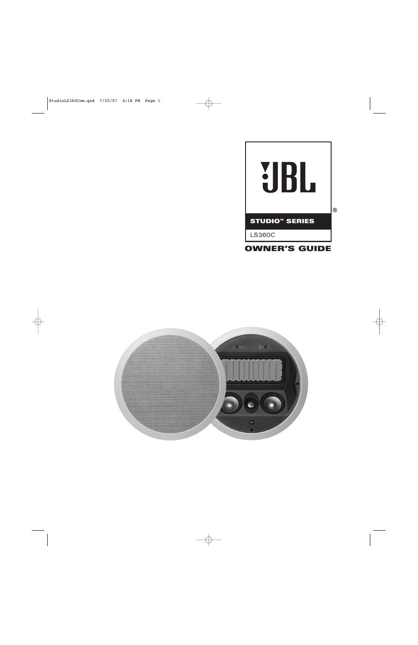

# **OWNER'S GUIDE**

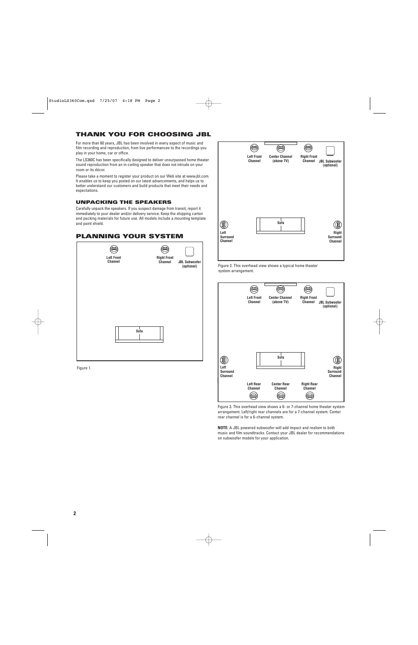# **THANK YOU FOR CHOOSING JBL**

For more than 60 years, JBL has been involved in every aspect of music and film recording and reproduction, from live performances to the recordings you play in your home, car or office.

The LS360C has been specifically designed to deliver unsurpassed home theater sound reproduction from an in-ceiling speaker that does not intrude on your room or its décor.

Please take a moment to register your product on our Web site at www.jbl.com. It enables us to keep you posted on our latest advancements, and helps us to better understand our customers and build products that meet their needs and expectations.

#### **UNPACKING THE SPEAKERS**

Carefully unpack the speakers. If you suspect damage from transit, report it immediately to your dealer and/or delivery service. Keep the shipping carton and packing materials for future use. All models include a mounting template and paint shield.



Figure 1.

അ ⊜ ⊜ **Left Front Center Channel Right Front Channel (above TV) JBL Subwoofer Channel (optional) Sofa** 08 (1) **Left Right Surround Surround Channel Channel**





Figure 3. This overhead view shows a 6- or 7-channel home theater system arrangement. Left/right rear channels are for a 7-channel system. Center rear channel is for a 6-channel system.

**NOTE:** A JBL powered subwoofer will add impact and realism to both music and film soundtracks. Contact your JBL dealer for recommendations on subwoofer models for your application.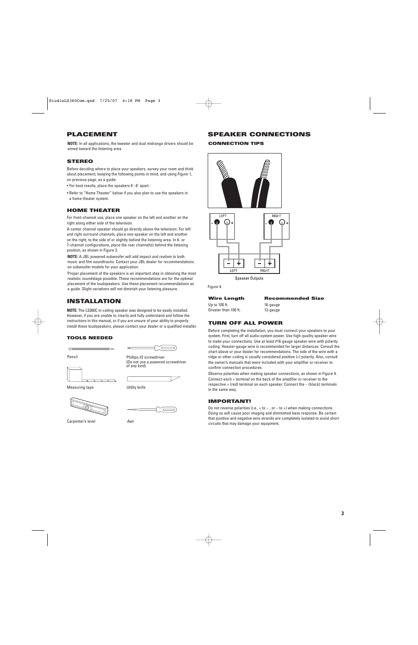# **PLACEMENT**

**NOTE:** In all applications, the tweeter and dual midrange drivers should be aimed toward the listening area.

## **STEREO**

Before deciding where to place your speakers, survey your room and think about placement, keeping the following points in mind, and using Figure 1, on previous page, as a guide:

- For best results, place the speakers 6'–8' apart.
- Refer to "Home Theater" below if you also plan to use the speakers in a home theater system.

## **HOME THEATER**

For front-channel use, place one speaker on the left and another on the right along either side of the television.

A center channel speaker should go directly above the television. For left and right surround channels, place one speaker on the left and another on the right, to the side of or slightly behind the listening area. In 6- or 7-channel configurations, place the rear channel(s) behind the listening position, as shown in Figure 3.

**NOTE:** A JBL powered subwoofer will add impact and realism to both music and film soundtracks. Contact your JBL dealer for recommendations on subwoofer models for your application.

Proper placement of the speakers is an important step in obtaining the most realistic soundstage possible. These recommendations are for the optimal placement of the loudspeakers. Use these placement recommendations as a guide. Slight variations will not diminish your listening pleasure.

# **INSTALLATION**

**NOTE:** The LS360C in-ceiling speaker was designed to be easily installed. However, if you are unable to clearly and fully understand and follow the instructions in this manual, or if you are unsure of your ability to properly install these loudspeakers, please contact your dealer or a qualified installer.

#### **TOOLS NEEDED**



Pencil

Phillips #2 screwdriver (Do not use a powered screwdriver of any kind)

Measuring tape **Witch Contact Contact Contact Contact Contact Contact Contact Contact Contact Contact Contact Contact Contact Contact Contact Contact Contact Contact Contact Contact Contact Contact Contact Contact Contact** 



Carpenter's level Awl



# **SPEAKER CONNECTIONS**

#### **CONNECTION TIPS**



**Speaker Outputs** 

Figure 4.

# Up to 100 ft. 16-gauge

**Wire Length Recommended Size**

# Greater than 100 ft. 12-gauge

## **TURN OFF ALL POWER**

Before completing the installation, you must connect your speakers to your system. First, turn off all audio-system power. Use high-quality speaker wire to make your connections. Use at least #16-gauge speaker wire with polarity coding. Heavier-gauge wire is recommended for larger distances. Consult the chart above or your dealer for recommendations. The side of the wire with a ridge or other coding is usually considered positive (+) polarity. Also, consult the owner's manuals that were included with your amplifier or receiver to confirm connection procedures.

Observe polarities when making speaker connections, as shown in Figure 4. Connect each + terminal on the back of the amplifier or receiver to the respective + (red) terminal on each speaker. Connect the – (black) terminals in the same way.

## **IMPORTANT!**

Do not reverse polarities (i.e.,  $+$  to  $-$  , or  $-$  to  $+$ ) when making connections. Doing so will cause poor imaging and diminished bass response. Be certain that positive and negative wire strands are completely isolated to avoid short circuits that may damage your equipment.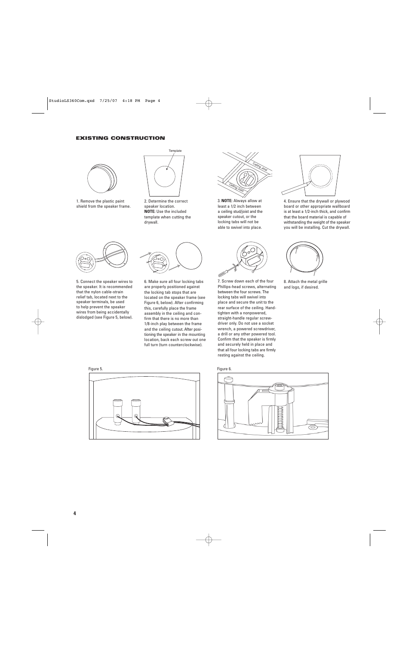#### **EXISTING CONSTRUCTION**



1. Remove the plastic paint shield from the speaker frame.



2. Determine the correct speaker location. **NOTE:** Use the included template when cutting the drywall.



3. **NOTE:** Always allow at least a 1/2 inch between a ceiling stud/joist and the speaker cutout, or the locking tabs will not be able to swivel into place.



7. Screw down each of the four Phillips-head screws, alternating between the four screws. The locking tabs will swivel into place and secure the unit to the rear surface of the ceiling. Handtighten with a nonpowered, straight-handle regular screwdriver only. Do not use a socket wrench, a powered screwdriver, a drill or any other powered tool. Confirm that the speaker is firmly and securely held in place and that all four locking tabs are firmly resting against the ceiling.



4. Ensure that the drywall or plywood board or other appropriate wallboard is at least a 1/2-inch thick, and confirm that the board material is capable of withstanding the weight of the speaker you will be installing. Cut the drywall.



8. Attach the metal grille and logo, if desired.



5. Connect the speaker wires to the speaker. It is recommended that the nylon cable-strain relief tab, located next to the speaker terminals, be used to help prevent the speaker wires from being accidentally dislodged (see Figure 5, below).



6. Make sure all four locking tabs are properly positioned against the locking tab stops that are located on the speaker frame (see Figure 6, below). After confirming this, carefully place the frame assembly in the ceiling and confirm that there is no more than 1/8-inch play between the frame and the ceiling cutout. After positioning the speaker in the mounting location, back each screw out one full turn (turn counterclockwise).





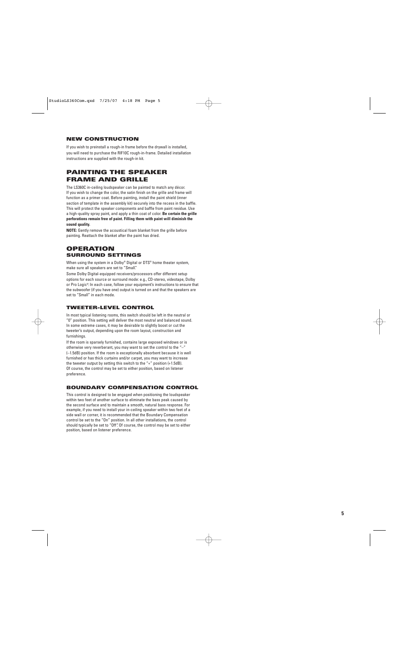## **NEW CONSTRUCTION**

If you wish to preinstall a rough-in frame before the drywall is installed, you will need to purchase the RIF10C rough-in-frame. Detailed installation instructions are supplied with the rough-in kit.

# **PAINTING THE SPEAKER FRAME AND GRILLE**

The LS360C in-ceiling loudspeaker can be painted to match any décor. If you wish to change the color, the satin finish on the grille and frame will function as a primer coat. Before painting, install the paint shield (inner section of template in the assembly kit) securely into the recess in the baffle. This will protect the speaker components and baffle from paint residue. Use a high-quality spray paint, and apply a thin coat of color. **Be certain the grille perforations remain free of paint. Filling them with paint will diminish the sound quality.**

**NOTE:** Gently remove the acoustical foam blanket from the grille before painting. Reattach the blanket after the paint has dried.

## **OPERATION SURROUND SETTINGS**

When using the system in a Dolby® Digital or DTS® home theater system, make sure all speakers are set to "Small."

Some Dolby Digital-equipped receivers/processors offer different setup options for each source or surround mode: e.g., CD-stereo, videotape, Dolby or Pro Logic® . In each case, follow your equipment's instructions to ensure that the subwoofer (if you have one) output is turned on and that the speakers are set to "Small" in each mode.

## **TWEETER-LEVEL CONTROL**

In most typical listening rooms, this switch should be left in the neutral or "0" position. This setting will deliver the most neutral and balanced sound. In some extreme cases, it may be desirable to slightly boost or cut the tweeter's output, depending upon the room layout, construction and furnishings.

If the room is sparsely furnished, contains large exposed windows or is otherwise very reverberant, you may want to set the control to the "–" (–1.5dB) position. If the room is exceptionally absorbent because it is well furnished or has thick curtains and/or carpet, you may want to increase the tweeter output by setting this switch to the "+" position (+1.5dB). Of course, the control may be set to either position, based on listener preference.

## **BOUNDARY COMPENSATION CONTROL**

This control is designed to be engaged when positioning the loudspeaker within two feet of another surface to eliminate the bass peak caused by the second surface and to maintain a smooth, natural bass response. For example, if you need to install your in-ceiling speaker within two feet of a side wall or corner, it is recommended that the Boundary Compensation control be set to the "On" position. In all other installations, the control should typically be set to "Off". Of course, the control may be set to either position, based on listener preference.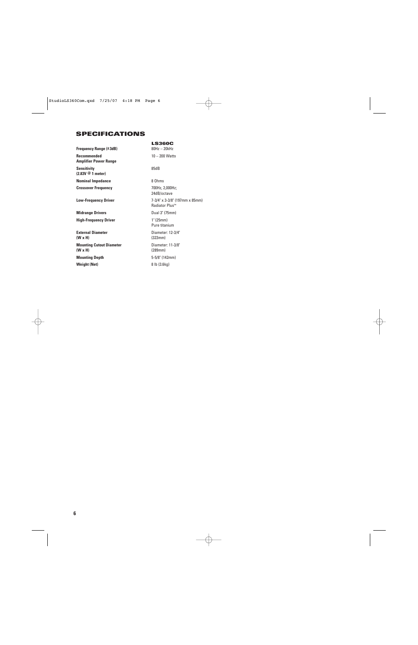# **SPECIFICATIONS**

| Frequency Range (±3dB)                               | <b>LS360C</b><br>$80Hz - 20kHz$                         |
|------------------------------------------------------|---------------------------------------------------------|
| <b>Recommended</b><br><b>Amplifier Power Range</b>   | $10 - 200$ Watts                                        |
| <b>Sensitivity</b><br>$(2.83V \circledcirc 1$ meter) | 85dB                                                    |
| <b>Nominal Impedance</b>                             | 8 Ohms                                                  |
| <b>Crossover Frequency</b>                           | 700Hz, 2,000Hz;<br>24dB/octave                          |
| <b>Low-Frequency Driver</b>                          | 7-3/4" x 3-3/8" (197mm x 85mm)<br><b>Radiator Plus™</b> |
| <b>Midrange Drivers</b>                              | Dual 3" (75mm)                                          |
| <b>High-Frequency Driver</b>                         | 1" (25mm)<br>Pure titanium                              |
| <b>External Diameter</b><br>$(W \times H)$           | Diameter: 12-3/4"<br>(323mm)                            |
| <b>Mounting Cutout Diameter</b><br>$(W \times H)$    | Diameter: 11-3/8"<br>(289mm)                            |
| <b>Mounting Depth</b>                                | 5-5/8" (142mm)                                          |
| <b>Weight (Net)</b>                                  | 8 lb (3.6kg)                                            |
|                                                      |                                                         |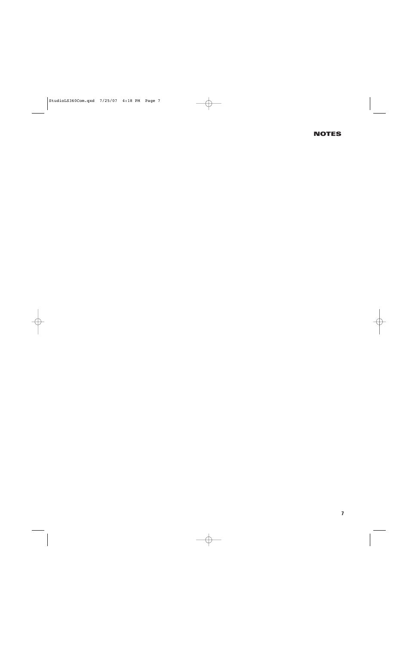## **NOTES**